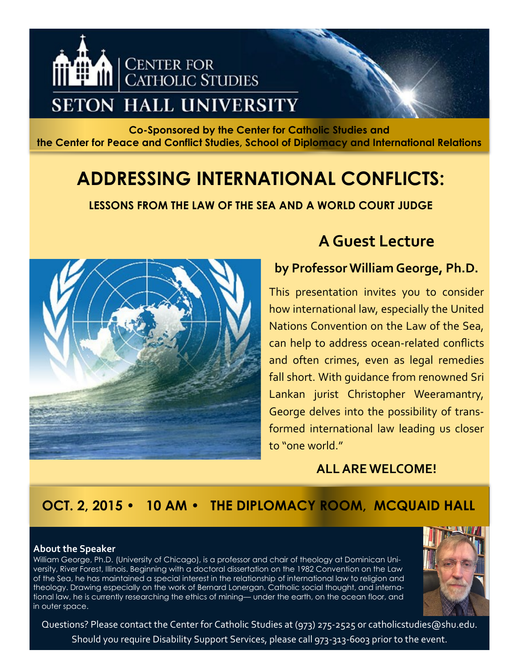

**Co-Sponsored by the Center for Catholic Studies and the Center for Peace and Conflict Studies, School of Diplomacy and International Relations**

# **ADDRESSING INTERNATIONAL CONFLICTS:**

**LESSONS FROM THE LAW OF THE SEA AND A WORLD COURT JUDGE**



## **A Guest Lecture**

### **by Professor William George, Ph.D.**

This presentation invites you to consider how international law, especially the United Nations Convention on the Law of the Sea, can help to address ocean-related conflicts and often crimes, even as legal remedies fall short. With guidance from renowned Sri Lankan jurist Christopher Weeramantry, George delves into the possibility of transformed international law leading us closer to "one world"

### **ALL ARE WELCOME!**

## **OCT. 2, 2015 • 10 AM • THE DIPLOMACY ROOM, MCQUAID HALL**

#### **About the Speaker**

William George, Ph.D. (University of Chicago), is a professor and chair of theology at Dominican University, River Forest, Illinois. Beginning with a doctoral dissertation on the 1982 Convention on the Law of the Sea, he has maintained a special interest in the relationship of international law to religion and theology. Drawing especially on the work of Bernard Lonergan, Catholic social thought, and international law, he is currently researching the ethics of mining— under the earth, on the ocean floor, and in outer space.



Questions? Please contact the Center for Catholic Studies at (973) 275-2525 or catholicstudies@shu.edu. Should you require Disability Support Services, please call 973-313-6003 prior to the event.